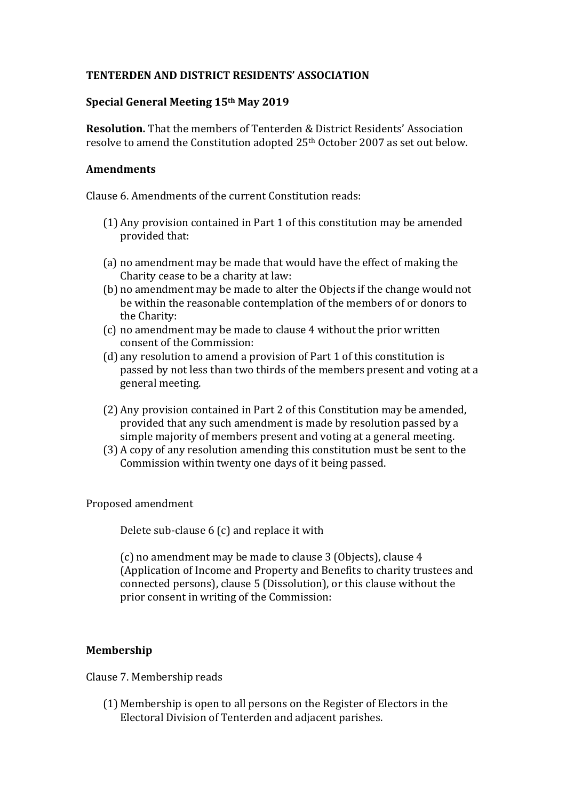# **TENTERDEN AND DISTRICT RESIDENTS' ASSOCIATION**

## **Special General Meeting 15th May 2019**

**Resolution.** That the members of Tenterden & District Residents' Association resolve to amend the Constitution adopted  $25<sup>th</sup>$  October 2007 as set out below.

#### Amendments

 $Cl_2$ use 6. Amendments of the current Constitution reads:

- $(1)$  Any provision contained in Part 1 of this constitution may be amended provided that:
- (a) no amendment may be made that would have the effect of making the Charity cease to be a charity at law:
- (b) no amendment may be made to alter the Objects if the change would not be within the reasonable contemplation of the members of or donors to the Charity:
- (c) no amendment may be made to clause 4 without the prior written consent of the Commission:
- (d) any resolution to amend a provision of Part 1 of this constitution is passed by not less than two thirds of the members present and voting at a general meeting.
- (2) Any provision contained in Part 2 of this Constitution may be amended, provided that any such amendment is made by resolution passed by a simple majority of members present and voting at a general meeting.
- (3) A copy of any resolution amending this constitution must be sent to the Commission within twenty one days of it being passed.

Proposed amendment

Delete sub-clause  $6$  (c) and replace it with

(c) no amendment may be made to clause 3 (Objects), clause 4 (Application of Income and Property and Benefits to charity trustees and connected persons), clause 5 (Dissolution), or this clause without the prior consent in writing of the Commission:

## **Membership**

Clause 7. Membership reads

 $(1)$  Membership is open to all persons on the Register of Electors in the Electoral Division of Tenterden and adiacent parishes.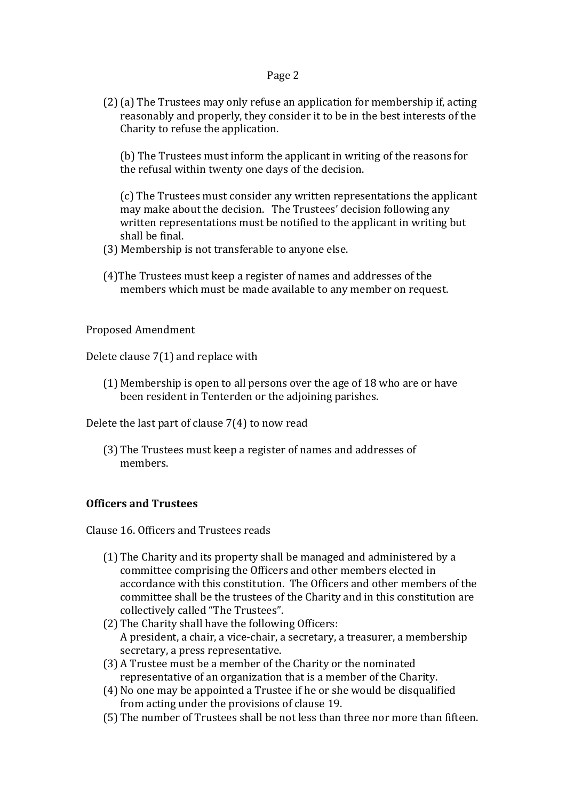#### Page 2

(2) (a) The Trustees may only refuse an application for membership if, acting reasonably and properly, they consider it to be in the best interests of the Charity to refuse the application.

(b) The Trustees must inform the applicant in writing of the reasons for the refusal within twenty one days of the decision.

(c) The Trustees must consider any written representations the applicant may make about the decision. The Trustees' decision following any written representations must be notified to the applicant in writing but shall be final.

- (3) Membership is not transferable to anyone else.
- (4) The Trustees must keep a register of names and addresses of the members which must be made available to any member on request.

Proposed Amendment

Delete clause  $7(1)$  and replace with

 $(1)$  Membership is open to all persons over the age of 18 who are or have been resident in Tenterden or the adjoining parishes.

Delete the last part of clause  $7(4)$  to now read

(3) The Trustees must keep a register of names and addresses of members. 

## **Officers and Trustees**

Clause 16. Officers and Trustees reads

- (1) The Charity and its property shall be managed and administered by a committee comprising the Officers and other members elected in accordance with this constitution. The Officers and other members of the committee shall be the trustees of the Charity and in this constitution are collectively called "The Trustees".
- (2) The Charity shall have the following Officers: A president, a chair, a vice-chair, a secretary, a treasurer, a membership secretary, a press representative.
- (3) A Trustee must be a member of the Charity or the nominated representative of an organization that is a member of the Charity.
- (4) No one may be appointed a Trustee if he or she would be disqualified from acting under the provisions of clause 19.
- (5) The number of Trustees shall be not less than three nor more than fifteen.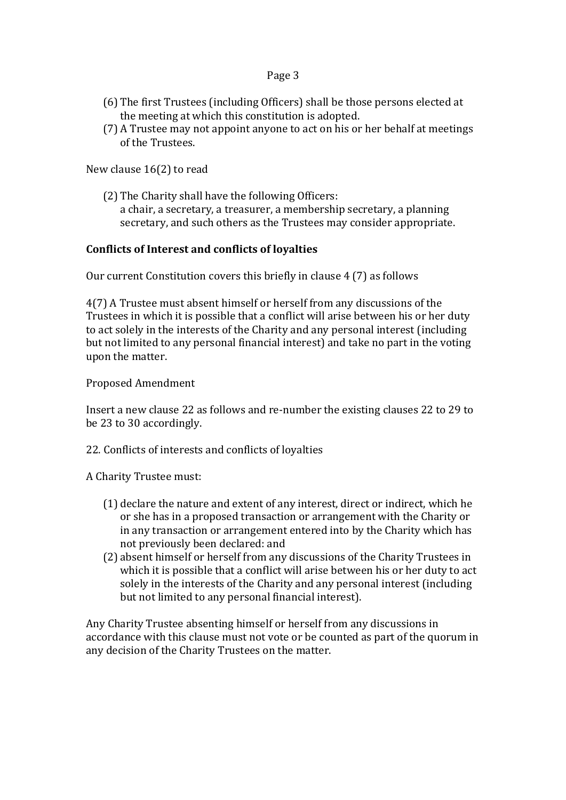## Page 3

- (6) The first Trustees (including Officers) shall be those persons elected at the meeting at which this constitution is adopted.
- (7) A Trustee may not appoint anyone to act on his or her behalf at meetings of the Trustees.

New clause  $16(2)$  to read

(2) The Charity shall have the following Officers: a chair, a secretary, a treasurer, a membership secretary, a planning secretary, and such others as the Trustees may consider appropriate.

## Conflicts of Interest and conflicts of loyalties

Our current Constitution covers this briefly in clause  $4(7)$  as follows

4(7) A Trustee must absent himself or herself from any discussions of the Trustees in which it is possible that a conflict will arise between his or her duty to act solely in the interests of the Charity and any personal interest (including but not limited to any personal financial interest) and take no part in the voting upon the matter.

Proposed Amendment

Insert a new clause 22 as follows and re-number the existing clauses 22 to 29 to be 23 to 30 accordingly.

22. Conflicts of interests and conflicts of loyalties

A Charity Trustee must:

- (1) declare the nature and extent of any interest, direct or indirect, which he or she has in a proposed transaction or arrangement with the Charity or in any transaction or arrangement entered into by the Charity which has not previously been declared: and
- (2) absent himself or herself from any discussions of the Charity Trustees in which it is possible that a conflict will arise between his or her duty to act solely in the interests of the Charity and any personal interest (including but not limited to any personal financial interest).

Any Charity Trustee absenting himself or herself from any discussions in accordance with this clause must not vote or be counted as part of the quorum in any decision of the Charity Trustees on the matter.